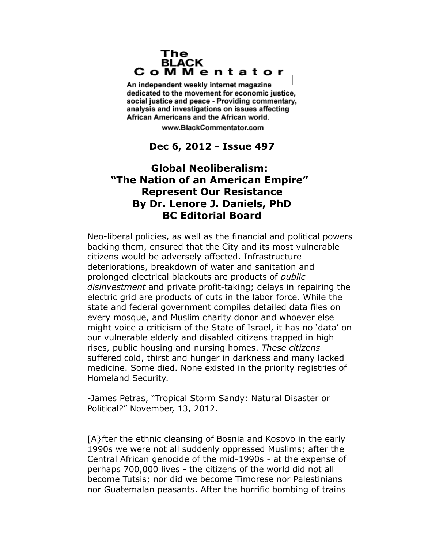### The **BLACK** CoMMentator

An independent weekly internet magazine dedicated to the movement for economic justice. social justice and peace - Providing commentary, analysis and investigations on issues affecting African Americans and the African world.

www.BlackCommentator.com

## **Dec 6, 2012 - Issue 497**

# **Global Neoliberalism: "The Nation of an American Empire" Represent Our Resistance By Dr. Lenore J. Daniels, PhD BC Editorial Board**

Neo-liberal policies, as well as the financial and political powers backing them, ensured that the City and its most vulnerable citizens would be adversely affected. Infrastructure deteriorations, breakdown of water and sanitation and prolonged electrical blackouts are products of *public disinvestment* and private profit-taking; delays in repairing the electric grid are products of cuts in the labor force. While the state and federal government compiles detailed data files on every mosque, and Muslim charity donor and whoever else might voice a criticism of the State of Israel, it has no 'data' on our vulnerable elderly and disabled citizens trapped in high rises, public housing and nursing homes. *These citizens* suffered cold, thirst and hunger in darkness and many lacked medicine. Some died. None existed in the priority registries of Homeland Security.

-James Petras, "Tropical Storm Sandy: Natural Disaster or Political?" November, 13, 2012.

[A}fter the ethnic cleansing of Bosnia and Kosovo in the early 1990s we were not all suddenly oppressed Muslims; after the Central African genocide of the mid-1990s - at the expense of perhaps 700,000 lives - the citizens of the world did not all become Tutsis; nor did we become Timorese nor Palestinians nor Guatemalan peasants. After the horrific bombing of trains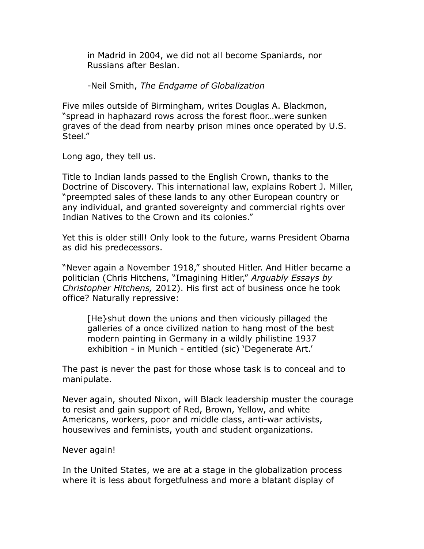in Madrid in 2004, we did not all become Spaniards, nor Russians after Beslan.

-Neil Smith, *The Endgame of Globalization*

Five miles outside of Birmingham, writes Douglas A. Blackmon, "spread in haphazard rows across the forest floor…were sunken graves of the dead from nearby prison mines once operated by U.S. Steel."

Long ago, they tell us.

Title to Indian lands passed to the English Crown, thanks to the Doctrine of Discovery. This international law, explains Robert J. Miller, "preempted sales of these lands to any other European country or any individual, and granted sovereignty and commercial rights over Indian Natives to the Crown and its colonies."

Yet this is older still! Only look to the future, warns President Obama as did his predecessors.

"Never again a November 1918," shouted Hitler. And Hitler became a politician (Chris Hitchens, "Imagining Hitler," *Arguably Essays by Christopher Hitchens,* 2012). His first act of business once he took office? Naturally repressive:

[He}shut down the unions and then viciously pillaged the galleries of a once civilized nation to hang most of the best modern painting in Germany in a wildly philistine 1937 exhibition - in Munich - entitled (sic) 'Degenerate Art.'

The past is never the past for those whose task is to conceal and to manipulate.

Never again, shouted Nixon, will Black leadership muster the courage to resist and gain support of Red, Brown, Yellow, and white Americans, workers, poor and middle class, anti-war activists, housewives and feminists, youth and student organizations.

### Never again!

In the United States, we are at a stage in the globalization process where it is less about forgetfulness and more a blatant display of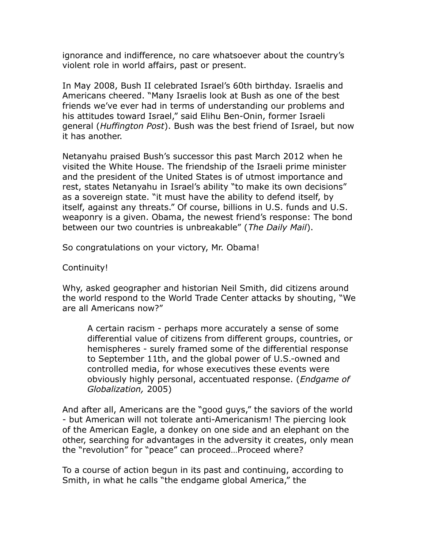ignorance and indifference, no care whatsoever about the country's violent role in world affairs, past or present.

In May 2008, Bush II celebrated Israel's 60th birthday. Israelis and Americans cheered. "Many Israelis look at Bush as one of the best friends we've ever had in terms of understanding our problems and his attitudes toward Israel," said Elihu Ben-Onin, former Israeli general (*Huffington Post*). Bush was the best friend of Israel, but now it has another.

Netanyahu praised Bush's successor this past March 2012 when he visited the White House. The friendship of the Israeli prime minister and the president of the United States is of utmost importance and rest, states Netanyahu in Israel's ability "to make its own decisions" as a sovereign state. "it must have the ability to defend itself, by itself, against any threats." Of course, billions in U.S. funds and U.S. weaponry is a given. Obama, the newest friend's response: The bond between our two countries is unbreakable" (*The Daily Mail*).

So congratulations on your victory, Mr. Obama!

Continuity!

Why, asked geographer and historian Neil Smith, did citizens around the world respond to the World Trade Center attacks by shouting, "We are all Americans now?"

A certain racism - perhaps more accurately a sense of some differential value of citizens from different groups, countries, or hemispheres - surely framed some of the differential response to September 11th, and the global power of U.S.-owned and controlled media, for whose executives these events were obviously highly personal, accentuated response. (*Endgame of Globalization,* 2005)

And after all, Americans are the "good guys," the saviors of the world - but American will not tolerate anti-Americanism! The piercing look of the American Eagle, a donkey on one side and an elephant on the other, searching for advantages in the adversity it creates, only mean the "revolution" for "peace" can proceed…Proceed where?

To a course of action begun in its past and continuing, according to Smith, in what he calls "the endgame global America," the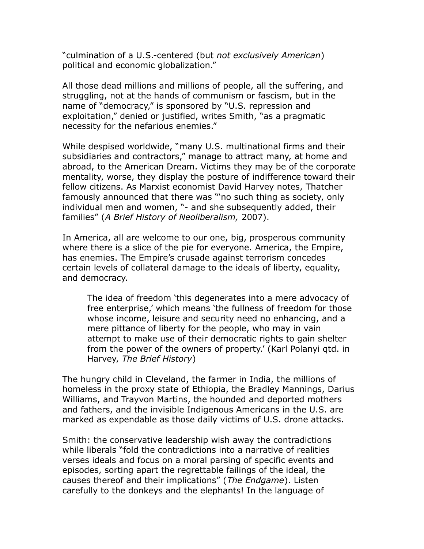"culmination of a U.S.-centered (but *not exclusively American*) political and economic globalization."

All those dead millions and millions of people, all the suffering, and struggling, not at the hands of communism or fascism, but in the name of "democracy," is sponsored by "U.S. repression and exploitation," denied or justified, writes Smith, "as a pragmatic necessity for the nefarious enemies."

While despised worldwide, "many U.S. multinational firms and their subsidiaries and contractors," manage to attract many, at home and abroad, to the American Dream. Victims they may be of the corporate mentality, worse, they display the posture of indifference toward their fellow citizens. As Marxist economist David Harvey notes, Thatcher famously announced that there was "'no such thing as society, only individual men and women, "- and she subsequently added, their families" (*A Brief History of Neoliberalism,* 2007).

In America, all are welcome to our one, big, prosperous community where there is a slice of the pie for everyone. America, the Empire, has enemies. The Empire's crusade against terrorism concedes certain levels of collateral damage to the ideals of liberty, equality, and democracy.

The idea of freedom 'this degenerates into a mere advocacy of free enterprise,' which means 'the fullness of freedom for those whose income, leisure and security need no enhancing, and a mere pittance of liberty for the people, who may in vain attempt to make use of their democratic rights to gain shelter from the power of the owners of property.' (Karl Polanyi qtd. in Harvey, *The Brief History*)

The hungry child in Cleveland, the farmer in India, the millions of homeless in the proxy state of Ethiopia, the Bradley Mannings, Darius Williams, and Trayvon Martins, the hounded and deported mothers and fathers, and the invisible Indigenous Americans in the U.S. are marked as expendable as those daily victims of U.S. drone attacks.

Smith: the conservative leadership wish away the contradictions while liberals "fold the contradictions into a narrative of realities verses ideals and focus on a moral parsing of specific events and episodes, sorting apart the regrettable failings of the ideal, the causes thereof and their implications" (*The Endgame*). Listen carefully to the donkeys and the elephants! In the language of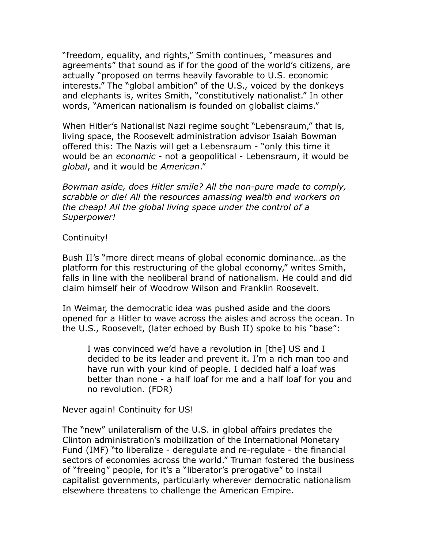"freedom, equality, and rights," Smith continues, "measures and agreements" that sound as if for the good of the world's citizens, are actually "proposed on terms heavily favorable to U.S. economic interests." The "global ambition" of the U.S., voiced by the donkeys and elephants is, writes Smith, "constitutively nationalist." In other words, "American nationalism is founded on globalist claims."

When Hitler's Nationalist Nazi regime sought "Lebensraum," that is, living space, the Roosevelt administration advisor Isaiah Bowman offered this: The Nazis will get a Lebensraum - "only this time it would be an *economic* - not a geopolitical - Lebensraum, it would be *global*, and it would be *American*."

*Bowman aside, does Hitler smile? All the non-pure made to comply, scrabble or die! All the resources amassing wealth and workers on the cheap! All the global living space under the control of a Superpower!*

### Continuity!

Bush II's "more direct means of global economic dominance…as the platform for this restructuring of the global economy," writes Smith, falls in line with the neoliberal brand of nationalism. He could and did claim himself heir of Woodrow Wilson and Franklin Roosevelt.

In Weimar, the democratic idea was pushed aside and the doors opened for a Hitler to wave across the aisles and across the ocean. In the U.S., Roosevelt, (later echoed by Bush II) spoke to his "base":

I was convinced we'd have a revolution in [the] US and I decided to be its leader and prevent it. I'm a rich man too and have run with your kind of people. I decided half a loaf was better than none - a half loaf for me and a half loaf for you and no revolution. (FDR)

Never again! Continuity for US!

The "new" unilateralism of the U.S. in global affairs predates the Clinton administration's mobilization of the International Monetary Fund (IMF) "to liberalize - deregulate and re-regulate - the financial sectors of economies across the world." Truman fostered the business of "freeing" people, for it's a "liberator's prerogative" to install capitalist governments, particularly wherever democratic nationalism elsewhere threatens to challenge the American Empire.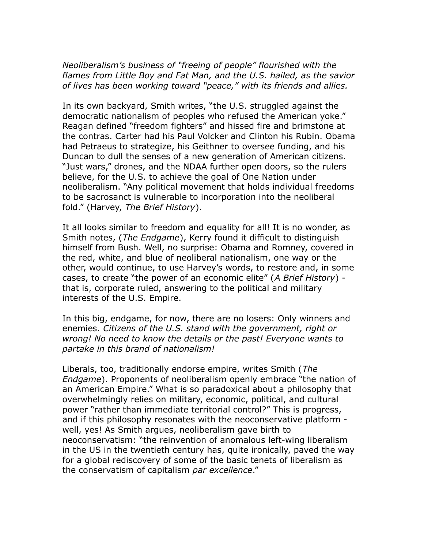*Neoliberalism's business of "freeing of people" flourished with the flames from Little Boy and Fat Man, and the U.S. hailed, as the savior of lives has been working toward "peace," with its friends and allies.*

In its own backyard, Smith writes, "the U.S. struggled against the democratic nationalism of peoples who refused the American yoke." Reagan defined "freedom fighters" and hissed fire and brimstone at the contras. Carter had his Paul Volcker and Clinton his Rubin. Obama had Petraeus to strategize, his Geithner to oversee funding, and his Duncan to dull the senses of a new generation of American citizens. "Just wars," drones, and the NDAA further open doors, so the rulers believe, for the U.S. to achieve the goal of One Nation under neoliberalism. "Any political movement that holds individual freedoms to be sacrosanct is vulnerable to incorporation into the neoliberal fold." (Harvey, *The Brief History*).

It all looks similar to freedom and equality for all! It is no wonder, as Smith notes, (*The Endgame*), Kerry found it difficult to distinguish himself from Bush. Well, no surprise: Obama and Romney, covered in the red, white, and blue of neoliberal nationalism, one way or the other, would continue, to use Harvey's words, to restore and, in some cases, to create "the power of an economic elite" (*A Brief History*) that is, corporate ruled, answering to the political and military interests of the U.S. Empire.

In this big, endgame, for now, there are no losers: Only winners and enemies. *Citizens of the U.S. stand with the government, right or wrong! No need to know the details or the past! Everyone wants to partake in this brand of nationalism!*

Liberals, too, traditionally endorse empire, writes Smith (*The Endgame*). Proponents of neoliberalism openly embrace "the nation of an American Empire." What is so paradoxical about a philosophy that overwhelmingly relies on military, economic, political, and cultural power "rather than immediate territorial control?" This is progress, and if this philosophy resonates with the neoconservative platform well, yes! As Smith argues, neoliberalism gave birth to neoconservatism: "the reinvention of anomalous left-wing liberalism in the US in the twentieth century has, quite ironically, paved the way for a global rediscovery of some of the basic tenets of liberalism as the conservatism of capitalism *par excellence*."